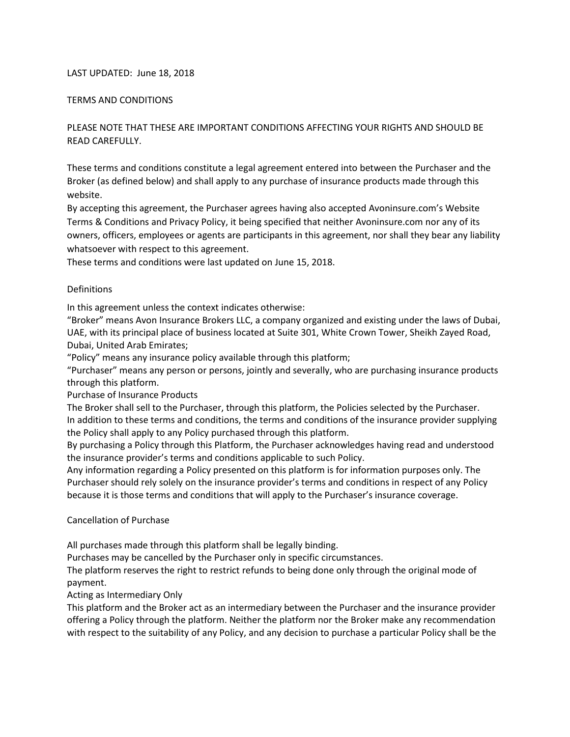#### LAST UPDATED: June 18, 2018

#### TERMS AND CONDITIONS

# PLEASE NOTE THAT THESE ARE IMPORTANT CONDITIONS AFFECTING YOUR RIGHTS AND SHOULD BE READ CAREFULLY.

These terms and conditions constitute a legal agreement entered into between the Purchaser and the Broker (as defined below) and shall apply to any purchase of insurance products made through this website.

By accepting this agreement, the Purchaser agrees having also accepted Avoninsure.com's Website Terms & Conditions and Privacy Policy, it being specified that neither Avoninsure.com nor any of its owners, officers, employees or agents are participants in this agreement, nor shall they bear any liability whatsoever with respect to this agreement.

These terms and conditions were last updated on June 15, 2018.

#### Definitions

In this agreement unless the context indicates otherwise:

"Broker" means Avon Insurance Brokers LLC, a company organized and existing under the laws of Dubai, UAE, with its principal place of business located at Suite 301, White Crown Tower, Sheikh Zayed Road, Dubai, United Arab Emirates;

"Policy" means any insurance policy available through this platform;

"Purchaser" means any person or persons, jointly and severally, who are purchasing insurance products through this platform.

Purchase of Insurance Products

The Broker shall sell to the Purchaser, through this platform, the Policies selected by the Purchaser. In addition to these terms and conditions, the terms and conditions of the insurance provider supplying the Policy shall apply to any Policy purchased through this platform.

By purchasing a Policy through this Platform, the Purchaser acknowledges having read and understood the insurance provider's terms and conditions applicable to such Policy.

Any information regarding a Policy presented on this platform is for information purposes only. The Purchaser should rely solely on the insurance provider's terms and conditions in respect of any Policy because it is those terms and conditions that will apply to the Purchaser's insurance coverage.

#### Cancellation of Purchase

All purchases made through this platform shall be legally binding.

Purchases may be cancelled by the Purchaser only in specific circumstances.

The platform reserves the right to restrict refunds to being done only through the original mode of payment.

Acting as Intermediary Only

This platform and the Broker act as an intermediary between the Purchaser and the insurance provider offering a Policy through the platform. Neither the platform nor the Broker make any recommendation with respect to the suitability of any Policy, and any decision to purchase a particular Policy shall be the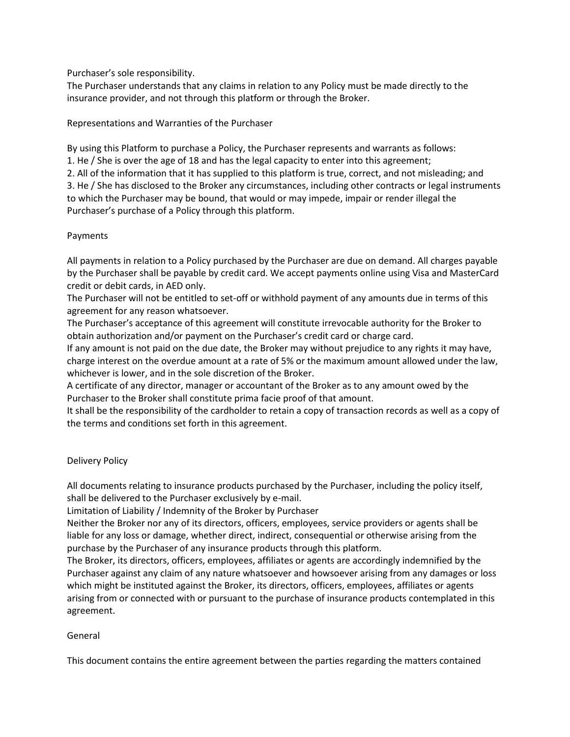### Purchaser's sole responsibility.

The Purchaser understands that any claims in relation to any Policy must be made directly to the insurance provider, and not through this platform or through the Broker.

### Representations and Warranties of the Purchaser

By using this Platform to purchase a Policy, the Purchaser represents and warrants as follows: 1. He / She is over the age of 18 and has the legal capacity to enter into this agreement; 2. All of the information that it has supplied to this platform is true, correct, and not misleading; and 3. He / She has disclosed to the Broker any circumstances, including other contracts or legal instruments to which the Purchaser may be bound, that would or may impede, impair or render illegal the Purchaser's purchase of a Policy through this platform.

### Payments

All payments in relation to a Policy purchased by the Purchaser are due on demand. All charges payable by the Purchaser shall be payable by credit card. We accept payments online using Visa and MasterCard credit or debit cards, in AED only.

The Purchaser will not be entitled to set-off or withhold payment of any amounts due in terms of this agreement for any reason whatsoever.

The Purchaser's acceptance of this agreement will constitute irrevocable authority for the Broker to obtain authorization and/or payment on the Purchaser's credit card or charge card.

If any amount is not paid on the due date, the Broker may without prejudice to any rights it may have, charge interest on the overdue amount at a rate of 5% or the maximum amount allowed under the law, whichever is lower, and in the sole discretion of the Broker.

A certificate of any director, manager or accountant of the Broker as to any amount owed by the Purchaser to the Broker shall constitute prima facie proof of that amount.

It shall be the responsibility of the cardholder to retain a copy of transaction records as well as a copy of the terms and conditions set forth in this agreement.

## Delivery Policy

All documents relating to insurance products purchased by the Purchaser, including the policy itself, shall be delivered to the Purchaser exclusively by e-mail.

Limitation of Liability / Indemnity of the Broker by Purchaser

Neither the Broker nor any of its directors, officers, employees, service providers or agents shall be liable for any loss or damage, whether direct, indirect, consequential or otherwise arising from the purchase by the Purchaser of any insurance products through this platform.

The Broker, its directors, officers, employees, affiliates or agents are accordingly indemnified by the Purchaser against any claim of any nature whatsoever and howsoever arising from any damages or loss which might be instituted against the Broker, its directors, officers, employees, affiliates or agents arising from or connected with or pursuant to the purchase of insurance products contemplated in this agreement.

### General

This document contains the entire agreement between the parties regarding the matters contained